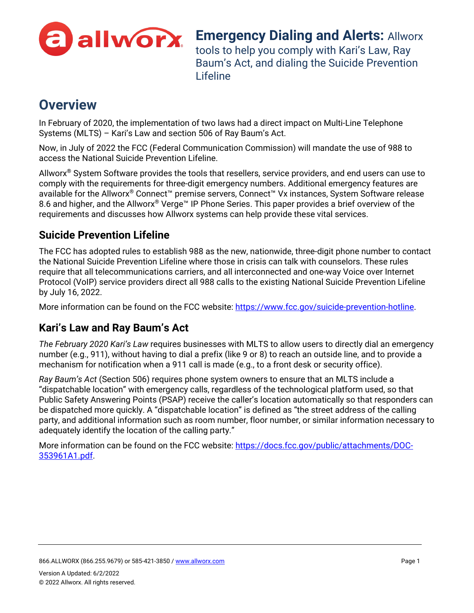

**Emergency Dialing and Alerts: Allworx** tools to help you comply with Kari's Law, Ray Baum's Act, and dialing the Suicide Prevention Lifeline

## **Overview**

In February of 2020, the implementation of two laws had a direct impact on Multi-Line Telephone Systems (MLTS) – Kari's Law and section 506 of Ray Baum's Act.

Now, in July of 2022 the FCC (Federal Communication Commission) will mandate the use of 988 to access the National Suicide Prevention Lifeline.

Allworx® System Software provides the tools that resellers, service providers, and end users can use to comply with the requirements for three-digit emergency numbers. Additional emergency features are available for the Allworx® Connect™ premise servers, Connect™ Vx instances, System Software release 8.6 and higher, and the Allworx® Verge™ IP Phone Series. This paper provides a brief overview of the requirements and discusses how Allworx systems can help provide these vital services.

## **Suicide Prevention Lifeline**

The FCC has adopted rules to establish 988 as the new, nationwide, three-digit phone number to contact the National Suicide Prevention Lifeline where those in crisis can talk with counselors. These rules require that all telecommunications carriers, and all interconnected and one-way Voice over Internet Protocol (VoIP) service providers direct all 988 calls to the existing National Suicide Prevention Lifeline by July 16, 2022.

More information can be found on the FCC website: [https://www.fcc.gov/suicide-prevention-hotline.](https://www.fcc.gov/suicide-prevention-hotline)

## **Kari's Law and Ray Baum's Act**

*The February 2020 Kari's Law* requires businesses with MLTS to allow users to directly dial an emergency number (e.g., 911), without having to dial a prefix (like 9 or 8) to reach an outside line, and to provide a mechanism for notification when a 911 call is made (e.g., to a front desk or security office).

*Ray Baum's Act* (Section 506) requires phone system owners to ensure that an MLTS include a "dispatchable location" with emergency calls, regardless of the technological platform used, so that Public Safety Answering Points (PSAP) receive the caller's location automatically so that responders can be dispatched more quickly. A "dispatchable location" is defined as "the street address of the calling party, and additional information such as room number, floor number, or similar information necessary to adequately identify the location of the calling party."

More information can be found on the FCC website: [https://docs.fcc.gov/public/attachments/DOC-](https://docs.fcc.gov/public/attachments/DOC-353961A1.pdf)[353961A1.pdf.](https://docs.fcc.gov/public/attachments/DOC-353961A1.pdf)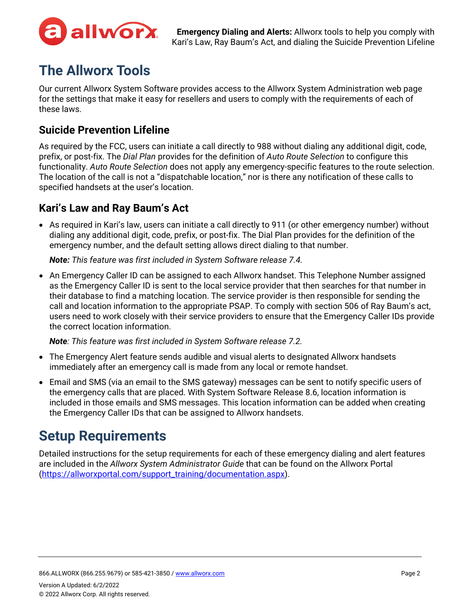

# **The Allworx Tools**

Our current Allworx System Software provides access to the Allworx System Administration web page for the settings that make it easy for resellers and users to comply with the requirements of each of these laws.

### **Suicide Prevention Lifeline**

As required by the FCC, users can initiate a call directly to 988 without dialing any additional digit, code, prefix, or post-fix. The *Dial Plan* provides for the definition of *Auto Route Selection* to configure this functionality. *Auto Route Selection* does not apply any emergency-specific features to the route selection. The location of the call is not a "dispatchable location," nor is there any notification of these calls to specified handsets at the user's location.

## **Kari's Law and Ray Baum's Act**

• As required in Kari's law, users can initiate a call directly to 911 (or other emergency number) without dialing any additional digit, code, prefix, or post-fix. The Dial Plan provides for the definition of the emergency number, and the default setting allows direct dialing to that number.

*Note: This feature was first included in System Software release 7.4.*

• An Emergency Caller ID can be assigned to each Allworx handset. This Telephone Number assigned as the Emergency Caller ID is sent to the local service provider that then searches for that number in their database to find a matching location. The service provider is then responsible for sending the call and location information to the appropriate PSAP. To comply with section 506 of Ray Baum's act, users need to work closely with their service providers to ensure that the Emergency Caller IDs provide the correct location information.

*Note: This feature was first included in System Software release 7.2.* 

- The Emergency Alert feature sends audible and visual alerts to designated Allworx handsets immediately after an emergency call is made from any local or remote handset.
- Email and SMS (via an email to the SMS gateway) messages can be sent to notify specific users of the emergency calls that are placed. With System Software Release 8.6, location information is included in those emails and SMS messages. This location information can be added when creating the Emergency Caller IDs that can be assigned to Allworx handsets.

# **Setup Requirements**

Detailed instructions for the setup requirements for each of these emergency dialing and alert features are included in the *Allworx System Administrator Guide* that can be found on the Allworx Portal [\(https://allworxportal.com/support\\_training/documentation.aspx\)](https://allworxportal.com/support_training/documentation.aspx).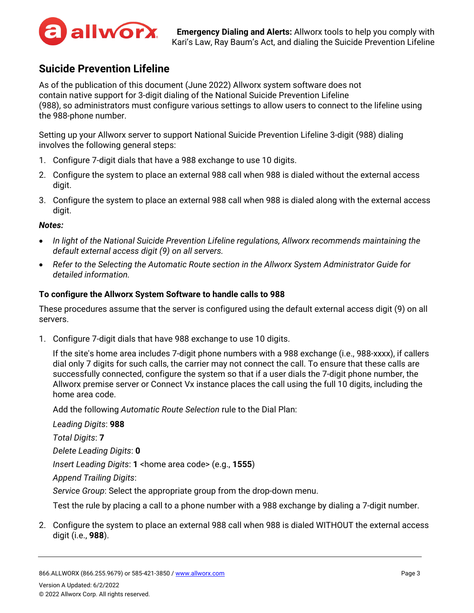

### **Suicide Prevention Lifeline**

As of the publication of this document (June 2022) Allworx system software does not contain native support for 3-digit dialing of the National Suicide Prevention Lifeline (988), so administrators must configure various settings to allow users to connect to the lifeline using the 988-phone number.

Setting up your Allworx server to support National Suicide Prevention Lifeline 3-digit (988) dialing involves the following general steps:

- 1. Configure 7-digit dials that have a 988 exchange to use 10 digits.
- 2. Configure the system to place an external 988 call when 988 is dialed without the external access digit.
- 3. Configure the system to place an external 988 call when 988 is dialed along with the external access digit.

#### *Notes:*

- *In light of the National Suicide Prevention Lifeline regulations, Allworx recommends maintaining the default external access digit (9) on all servers.*
- *Refer to the Selecting the Automatic Route section in the Allworx System Administrator Guide for detailed information.*

#### <span id="page-2-0"></span>**To configure the Allworx System Software to handle calls to 988**

These procedures assume that the server is configured using the default external access digit (9) on all servers.

1. Configure 7-digit dials that have 988 exchange to use 10 digits.

If the site's home area includes 7-digit phone numbers with a 988 exchange (i.e., 988-xxxx), if callers dial only 7 digits for such calls, the carrier may not connect the call. To ensure that these calls are successfully connected, configure the system so that if a user dials the 7-digit phone number, the Allworx premise server or Connect Vx instance places the call using the full 10 digits, including the home area code.

Add the following *Automatic Route Selection* rule to the Dial Plan:

*Leading Digits*: **988** *Total Digits*: **7** *Delete Leading Digits*: **0** *Insert Leading Digits*: **1** <home area code> (e.g., **1555**) *Append Trailing Digits*: *Service Group*: Select the appropriate group from the drop-down menu. Test the rule by placing a call to a phone number with a 988 exchange by dialing a 7-digit number.

2. Configure the system to place an external 988 call when 988 is dialed WITHOUT the external access digit (i.e., **988**).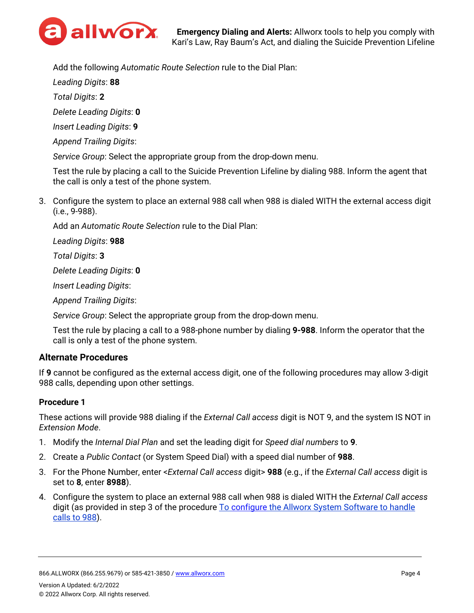

Add the following *Automatic Route Selection* rule to the Dial Plan:

*Leading Digits*: **88**

*Total Digits*: **2**

*Delete Leading Digits*: **0**

*Insert Leading Digits*: **9**

*Append Trailing Digits*:

*Service Group*: Select the appropriate group from the drop-down menu.

Test the rule by placing a call to the Suicide Prevention Lifeline by dialing 988. Inform the agent that the call is only a test of the phone system.

3. Configure the system to place an external 988 call when 988 is dialed WITH the external access digit (i.e., 9-988).

Add an *Automatic Route Selection* rule to the Dial Plan:

*Leading Digits*: **988**

*Total Digits*: **3**

*Delete Leading Digits*: **0**

*Insert Leading Digits*:

*Append Trailing Digits*:

*Service Group*: Select the appropriate group from the drop-down menu.

Test the rule by placing a call to a 988-phone number by dialing **9-988**. Inform the operator that the call is only a test of the phone system.

#### **Alternate Procedures**

If **9** cannot be configured as the external access digit, one of the following procedures may allow 3-digit 988 calls, depending upon other settings.

#### **Procedure 1**

These actions will provide 988 dialing if the *External Call access* digit is NOT 9, and the system IS NOT in *Extension Mode*.

- 1. Modify the *Internal Dial Plan* and set the leading digit for *Speed dial numbers* to **9**.
- 2. Create a *Public Contact* (or System Speed Dial) with a speed dial number of **988**.
- 3. For the Phone Number, enter <*External Call access* digit> **988** (e.g., if the *External Call access* digit is set to **8**, enter **8988**).
- 4. Configure the system to place an external 988 call when 988 is dialed WITH the *External Call access* digit (as provided in step 3 of the procedure To configure [the Allworx System Software to handle](#page-2-0)  [calls to 988\)](#page-2-0).